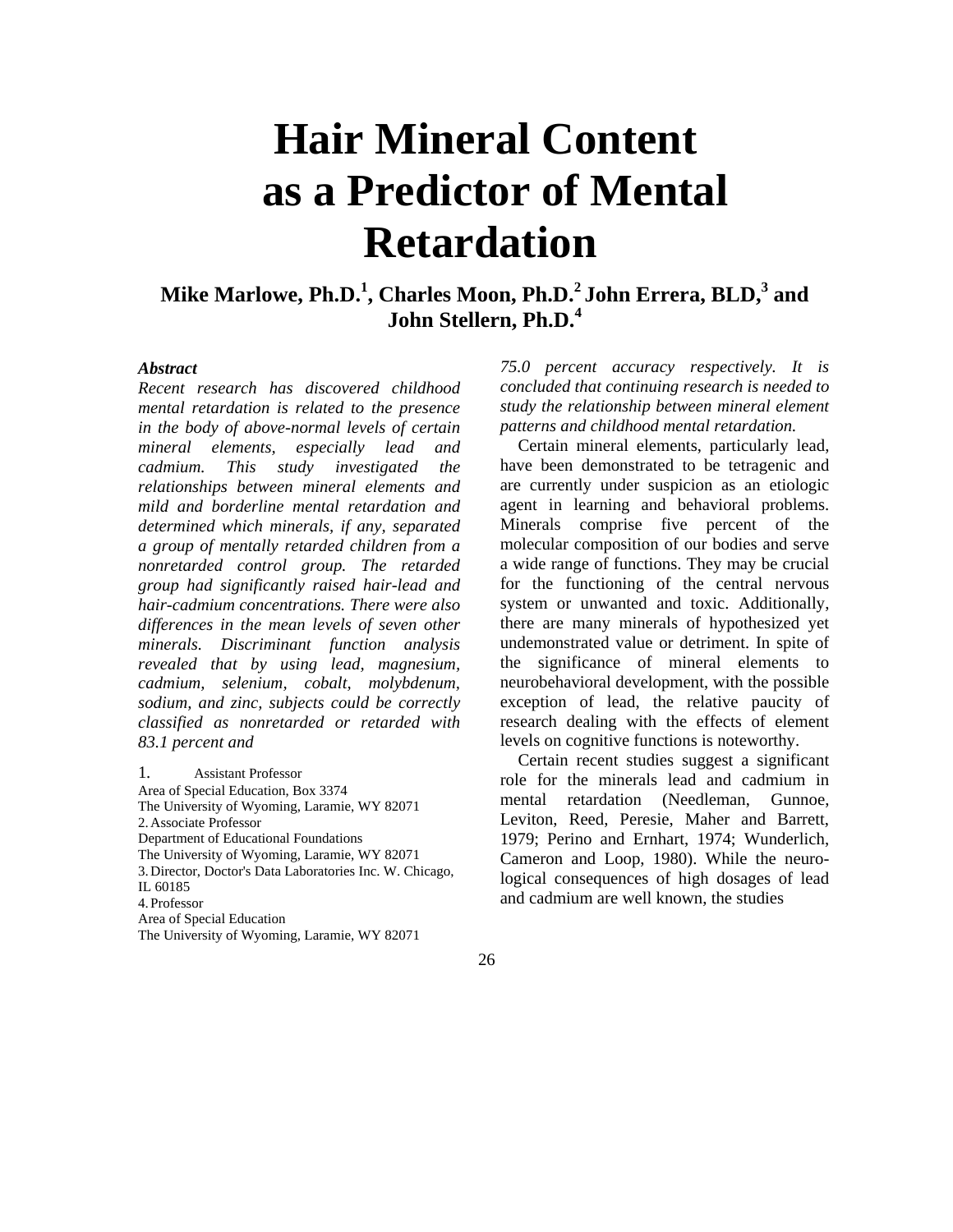# **Hair Mineral Content as a Predictor of Mental Retardation**

## Mike Marlowe, Ph.D.<sup>1</sup>, Charles Moon, Ph.D.<sup>2</sup> John Errera, BLD,<sup>3</sup> and **John Stellern, Ph.D.4**

## *Abstract*

*Recent research has discovered childhood mental retardation is related to the presence in the body of above-normal levels of certain mineral elements, especially lead and cadmium. This study investigated the relationships between mineral elements and mild and borderline mental retardation and determined which minerals, if any, separated a group of mentally retarded children from a nonretarded control group. The retarded group had significantly raised hair-lead and hair-cadmium concentrations. There were also differences in the mean levels of seven other minerals. Discriminant function analysis revealed that by using lead, magnesium, cadmium, selenium, cobalt, molybdenum, sodium, and zinc, subjects could be correctly classified as nonretarded or retarded with 83.1 percent and*

1*.* Assistant Professor Area of Special Education, Box 3374 The University of Wyoming, Laramie, WY 82071 2. Associate Professor Department of Educational Foundations The University of Wyoming, Laramie, WY 82071 3.Director, Doctor's Data Laboratories Inc. W. Chicago, IL 60185 4.Professor Area of Special Education The University of Wyoming, Laramie, WY 82071

*75.0 percent accuracy respectively. It is concluded that continuing research is needed to study the relationship between mineral element patterns and childhood mental retardation.*

Certain mineral elements, particularly lead, have been demonstrated to be tetragenic and are currently under suspicion as an etiologic agent in learning and behavioral problems. Minerals comprise five percent of the molecular composition of our bodies and serve a wide range of functions. They may be crucial for the functioning of the central nervous system or unwanted and toxic. Additionally, there are many minerals of hypothesized yet undemonstrated value or detriment. In spite of the significance of mineral elements to neurobehavioral development, with the possible exception of lead, the relative paucity of research dealing with the effects of element levels on cognitive functions is noteworthy.

Certain recent studies suggest a significant role for the minerals lead and cadmium in mental retardation (Needleman, Gunnoe, Leviton, Reed, Peresie, Maher and Barrett, 1979; Perino and Ernhart, 1974; Wunderlich, Cameron and Loop, 1980). While the neurological consequences of high dosages of lead and cadmium are well known, the studies

26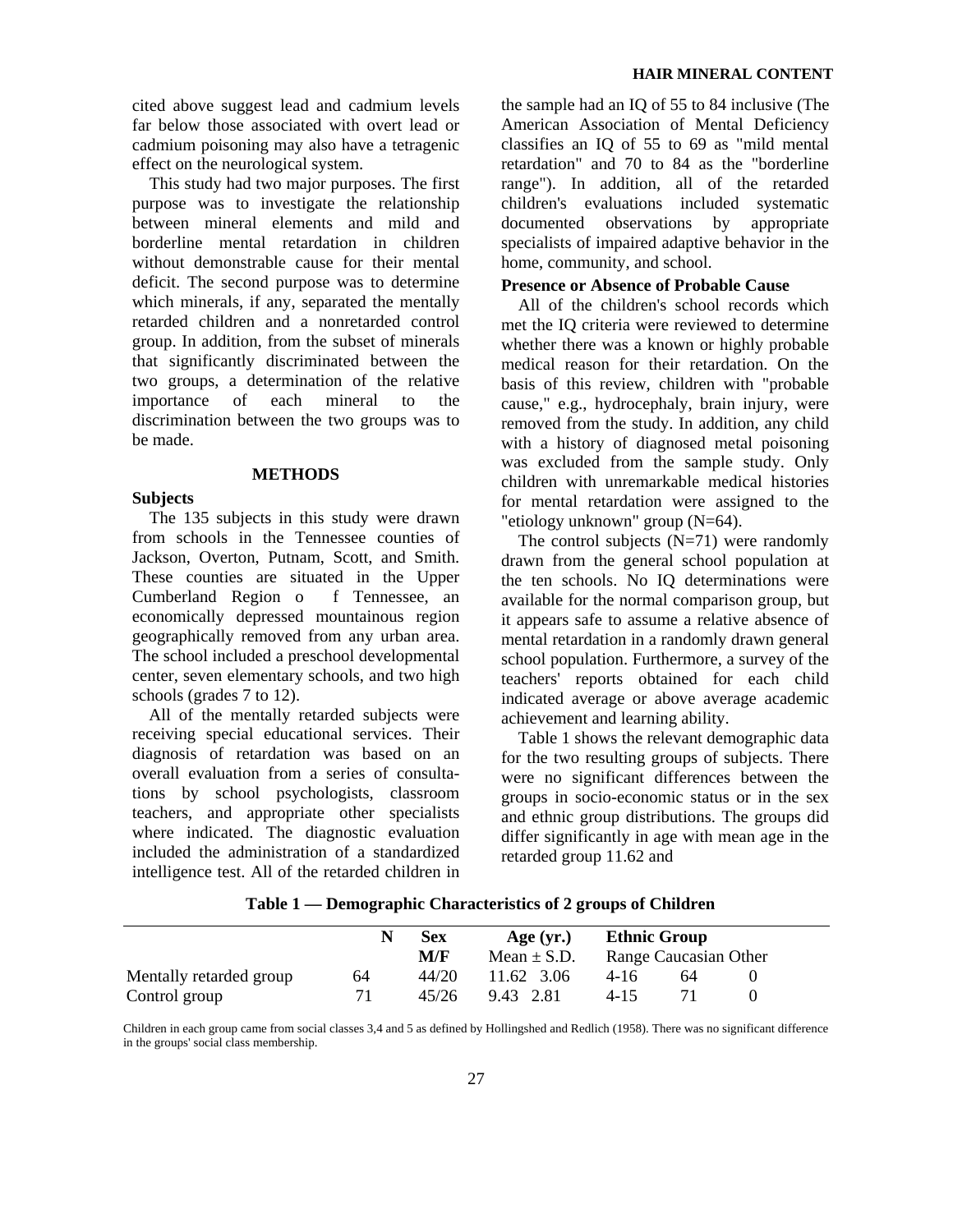cited above suggest lead and cadmium levels far below those associated with overt lead or cadmium poisoning may also have a tetragenic effect on the neurological system.

This study had two major purposes. The first purpose was to investigate the relationship between mineral elements and mild and borderline mental retardation in children without demonstrable cause for their mental deficit. The second purpose was to determine which minerals, if any, separated the mentally retarded children and a nonretarded control group. In addition, from the subset of minerals that significantly discriminated between the two groups, a determination of the relative importance of each mineral to the discrimination between the two groups was to be made.

## **METHODS**

## **Subjects**

The 135 subjects in this study were drawn from schools in the Tennessee counties of Jackson, Overton, Putnam, Scott, and Smith. These counties are situated in the Upper Cumberland Region o f Tennessee, an economically depressed mountainous region geographically removed from any urban area. The school included a preschool developmental center, seven elementary schools, and two high schools (grades 7 to 12).

All of the mentally retarded subjects were receiving special educational services. Their diagnosis of retardation was based on an overall evaluation from a series of consultations by school psychologists, classroom teachers, and appropriate other specialists where indicated. The diagnostic evaluation included the administration of a standardized intelligence test. All of the retarded children in

the sample had an IQ of 55 to 84 inclusive (The American Association of Mental Deficiency classifies an IQ of 55 to 69 as "mild mental retardation" and 70 to 84 as the "borderline range"). In addition, all of the retarded children's evaluations included systematic documented observations by appropriate specialists of impaired adaptive behavior in the home, community, and school.

## **Presence or Absence of Probable Cause**

All of the children's school records which met the IQ criteria were reviewed to determine whether there was a known or highly probable medical reason for their retardation. On the basis of this review, children with "probable cause," e.g., hydrocephaly, brain injury, were removed from the study. In addition, any child with a history of diagnosed metal poisoning was excluded from the sample study. Only children with unremarkable medical histories for mental retardation were assigned to the "etiology unknown" group (N=64).

The control subjects  $(N=71)$  were randomly drawn from the general school population at the ten schools. No IQ determinations were available for the normal comparison group, but it appears safe to assume a relative absence of mental retardation in a randomly drawn general school population. Furthermore, a survey of the teachers' reports obtained for each child indicated average or above average academic achievement and learning ability.

Table 1 shows the relevant demographic data for the two resulting groups of subjects. There were no significant differences between the groups in socio-economic status or in the sex and ethnic group distributions. The groups did differ significantly in age with mean age in the retarded group 11.62 and

|                         |    | <b>Sex</b> | Age $(yr.)$     | <b>Ethnic Group</b> |                       |  |
|-------------------------|----|------------|-----------------|---------------------|-----------------------|--|
|                         |    | M/F        | Mean $\pm$ S.D. |                     | Range Caucasian Other |  |
| Mentally retarded group | 64 | 44/20      | 11.62 3.06      | 4-16                | 64                    |  |
| Control group           |    | 45/26      | 9.43 2.81       | $4 - 15$            |                       |  |

 **Table 1 — Demographic Characteristics of 2 groups of Children**

Children in each group came from social classes 3,4 and 5 as defined by Hollingshed and Redlich (1958). There was no significant difference in the groups' social class membership.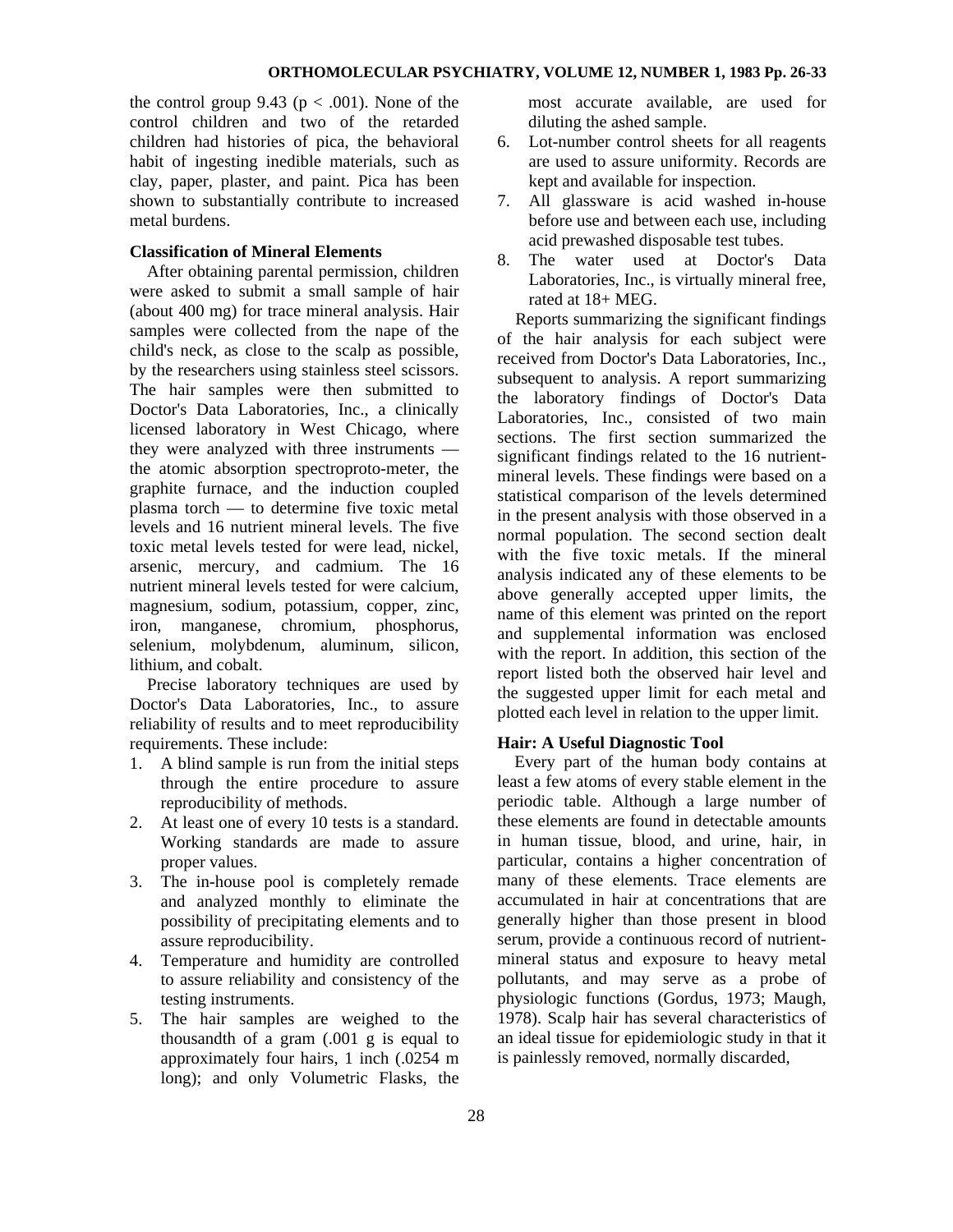the control group 9.43 ( $p < .001$ ). None of the control children and two of the retarded children had histories of pica, the behavioral habit of ingesting inedible materials, such as clay, paper, plaster, and paint. Pica has been shown to substantially contribute to increased metal burdens.

## **Classification of Mineral Elements**

After obtaining parental permission, children were asked to submit a small sample of hair (about 400 mg) for trace mineral analysis. Hair samples were collected from the nape of the child's neck, as close to the scalp as possible, by the researchers using stainless steel scissors. The hair samples were then submitted to Doctor's Data Laboratories, Inc., a clinically licensed laboratory in West Chicago, where they were analyzed with three instruments the atomic absorption spectroproto-meter, the graphite furnace, and the induction coupled plasma torch — to determine five toxic metal levels and 16 nutrient mineral levels. The five toxic metal levels tested for were lead, nickel, arsenic, mercury, and cadmium. The 16 nutrient mineral levels tested for were calcium, magnesium, sodium, potassium, copper, zinc, iron, manganese, chromium, phosphorus, selenium, molybdenum, aluminum, silicon, lithium, and cobalt.

Precise laboratory techniques are used by Doctor's Data Laboratories, Inc., to assure reliability of results and to meet reproducibility requirements. These include:

- 1. A blind sample is run from the initial steps through the entire procedure to assure reproducibility of methods.
- 2. At least one of every 10 tests is a standard. Working standards are made to assure proper values.
- 3. The in-house pool is completely remade and analyzed monthly to eliminate the possibility of precipitating elements and to assure reproducibility.
- 4. Temperature and humidity are controlled to assure reliability and consistency of the testing instruments.
- 5. The hair samples are weighed to the thousandth of a gram (.001 g is equal to approximately four hairs, 1 inch (.0254 m long); and only Volumetric Flasks, the

most accurate available, are used for diluting the ashed sample.

- 6. Lot-number control sheets for all reagents are used to assure uniformity. Records are kept and available for inspection.
- 7. All glassware is acid washed in-house before use and between each use, including acid prewashed disposable test tubes.
- 8. The water used at Doctor's Data Laboratories, Inc., is virtually mineral free, rated at 18+ MEG.

Reports summarizing the significant findings of the hair analysis for each subject were received from Doctor's Data Laboratories, Inc., subsequent to analysis. A report summarizing the laboratory findings of Doctor's Data Laboratories, Inc., consisted of two main sections. The first section summarized the significant findings related to the 16 nutrientmineral levels. These findings were based on a statistical comparison of the levels determined in the present analysis with those observed in a normal population. The second section dealt with the five toxic metals. If the mineral analysis indicated any of these elements to be above generally accepted upper limits, the name of this element was printed on the report and supplemental information was enclosed with the report. In addition, this section of the report listed both the observed hair level and the suggested upper limit for each metal and plotted each level in relation to the upper limit.

## **Hair: A Useful Diagnostic Tool**

Every part of the human body contains at least a few atoms of every stable element in the periodic table. Although a large number of these elements are found in detectable amounts in human tissue, blood, and urine, hair, in particular, contains a higher concentration of many of these elements. Trace elements are accumulated in hair at concentrations that are generally higher than those present in blood serum, provide a continuous record of nutrientmineral status and exposure to heavy metal pollutants, and may serve as a probe of physiologic functions (Gordus, 1973; Maugh, 1978). Scalp hair has several characteristics of an ideal tissue for epidemiologic study in that it is painlessly removed, normally discarded,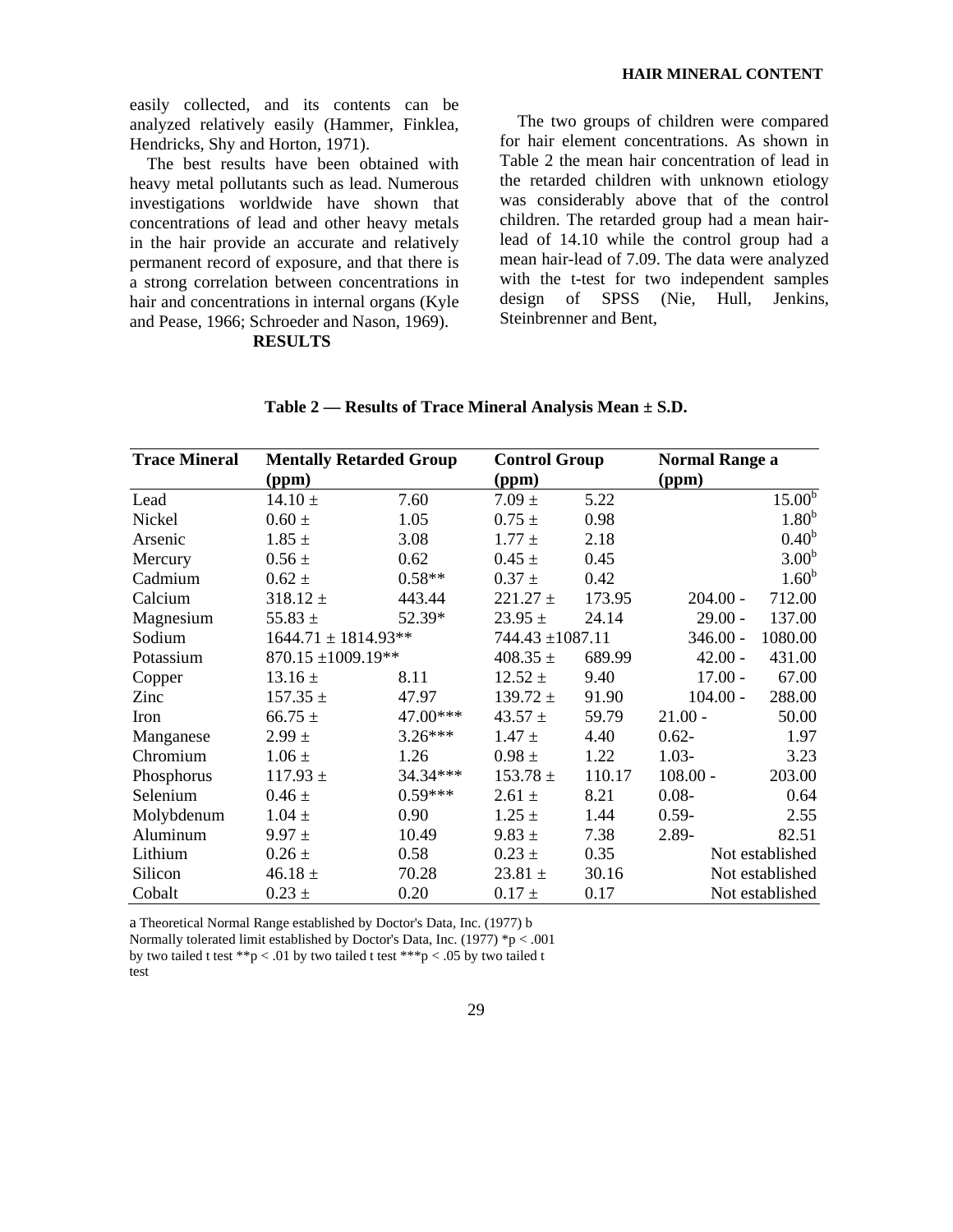easily collected, and its contents can be analyzed relatively easily (Hammer, Finklea, Hendricks, Shy and Horton, 1971).

The best results have been obtained with heavy metal pollutants such as lead. Numerous investigations worldwide have shown that concentrations of lead and other heavy metals in the hair provide an accurate and relatively permanent record of exposure, and that there is a strong correlation between concentrations in hair and concentrations in internal organs (Kyle and Pease, 1966; Schroeder and Nason, 1969).

**RESULTS**

The two groups of children were compared for hair element concentrations. As shown in Table 2 the mean hair concentration of lead in the retarded children with unknown etiology was considerably above that of the control children. The retarded group had a mean hairlead of 14.10 while the control group had a mean hair-lead of 7.09. The data were analyzed with the t-test for two independent samples design of SPSS (Nie, Hull, Jenkins, Steinbrenner and Bent,

| <b>Trace Mineral</b> | <b>Mentally Retarded Group</b> | <b>Control Group</b> |                      | <b>Normal Range a</b> |            |                    |
|----------------------|--------------------------------|----------------------|----------------------|-----------------------|------------|--------------------|
|                      | (ppm)                          |                      | (ppm)                |                       | (ppm)      |                    |
| Lead                 | $14.10 \pm$                    | 7.60                 | $7.09 \pm$           | 5.22                  |            | 15.00 <sup>b</sup> |
| Nickel               | $0.60 \pm$                     | 1.05                 | $0.75 \pm$           | 0.98                  |            | 1.80 <sup>b</sup>  |
| Arsenic              | $1.85 \pm$                     | 3.08                 | $1.77 \pm$           | 2.18                  |            | 0.40 <sup>b</sup>  |
| Mercury              | $0.56 \pm$                     | 0.62                 | $0.45 \pm$           | 0.45                  |            | 3.00 <sup>b</sup>  |
| Cadmium              | $0.62 \pm$                     | $0.58**$             | $0.37 \pm$           | 0.42                  |            | 1.60 <sup>b</sup>  |
| Calcium              | $318.12 \pm$                   | 443.44               | $221.27 \pm$         | 173.95                | $204.00 -$ | 712.00             |
| Magnesium            | 55.83 $\pm$                    | 52.39*               | $23.95 \pm$          | 24.14                 | $29.00 -$  | 137.00             |
| Sodium               | $1644.71 \pm 1814.93**$        |                      | $744.43 \pm 1087.11$ |                       | $346.00 -$ | 1080.00            |
| Potassium            | $870.15 \pm 1009.19**$         |                      | 408.35 $\pm$         | 689.99                | $42.00 -$  | 431.00             |
| Copper               | $13.16 \pm$                    | 8.11                 | $12.52 \pm$          | 9.40                  | $17.00 -$  | 67.00              |
| Zinc                 | $157.35 \pm$                   | 47.97                | $139.72 \pm$         | 91.90                 | $104.00 -$ | 288.00             |
| Iron                 | $66.75 \pm$                    | 47.00***             | 43.57 $\pm$          | 59.79                 | $21.00 -$  | 50.00              |
| Manganese            | $2.99 \pm$                     | $3.26***$            | $1.47 \pm$           | 4.40                  | $0.62 -$   | 1.97               |
| Chromium             | $1.06 \pm$                     | 1.26                 | $0.98 \pm$           | 1.22                  | $1.03-$    | 3.23               |
| Phosphorus           | $117.93 \pm$                   | 34.34***             | $153.78 \pm$         | 110.17                | $108.00 -$ | 203.00             |
| Selenium             | $0.46 \pm$                     | $0.59***$            | $2.61 \pm$           | 8.21                  | $0.08 -$   | 0.64               |
| Molybdenum           | $1.04 \pm$                     | 0.90                 | $1.25 \pm$           | 1.44                  | $0.59 -$   | 2.55               |
| Aluminum             | $9.97 \pm$                     | 10.49                | $9.83 \pm$           | 7.38                  | 2.89-      | 82.51              |
| Lithium              | $0.26 \pm$                     | 0.58                 | $0.23 \pm$           | 0.35                  |            | Not established    |
| Silicon              | 46.18 $\pm$                    | 70.28                | 23.81 $\pm$          | 30.16                 |            | Not established    |
| Cobalt               | $0.23 \pm$                     | 0.20                 | $0.17 \pm$           | 0.17                  |            | Not established    |

**Table 2 — Results of Trace Mineral Analysis Mean ± S.D.**

a Theoretical Normal Range established by Doctor's Data, Inc. (1977) b Normally tolerated limit established by Doctor's Data, Inc. (1977) \*p < .001 by two tailed t test \*\*p < .01 by two tailed t test \*\*\*p < .05 by two tailed t test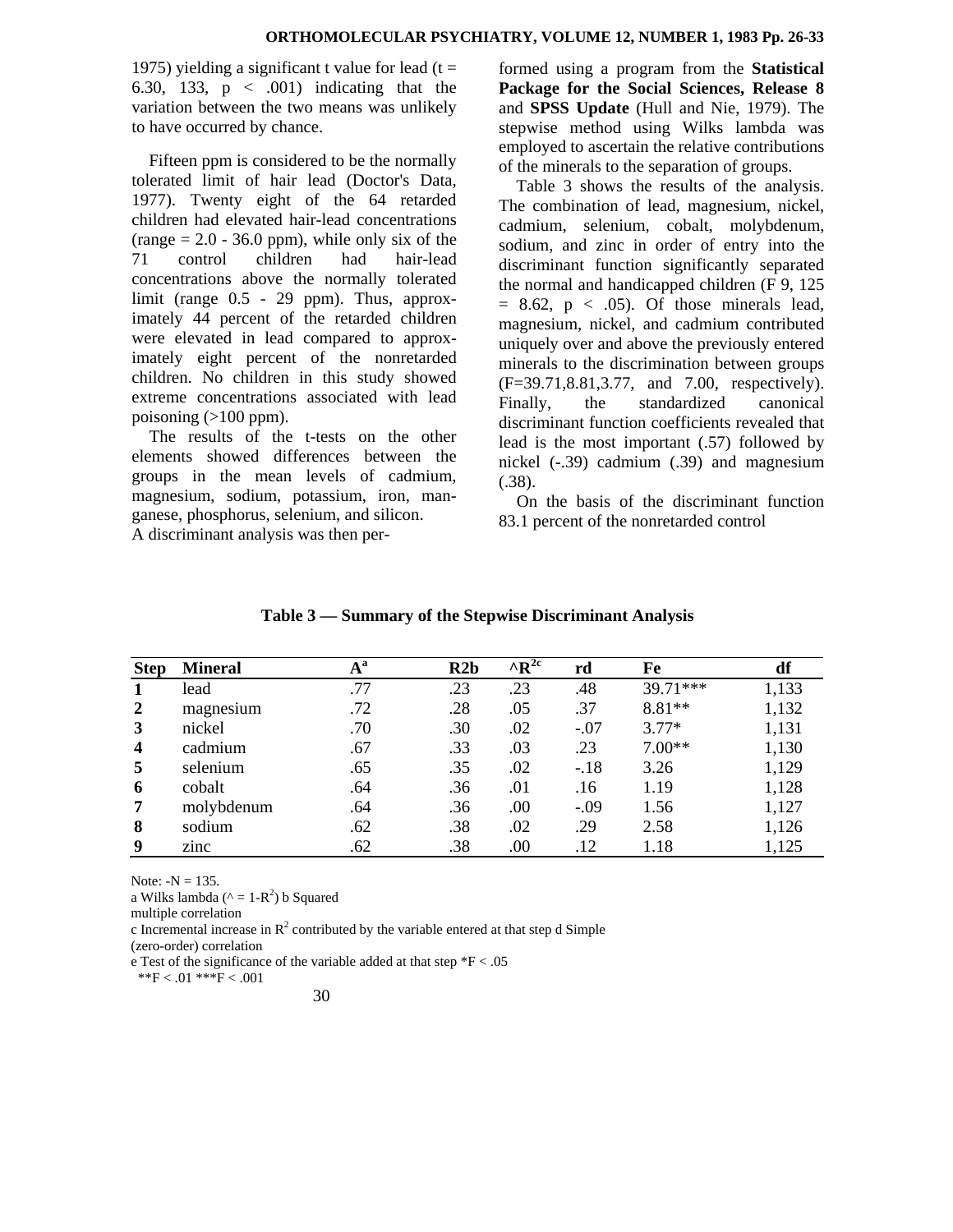1975) yielding a significant t value for lead ( $t =$ 6.30, 133,  $p \lt .001$  indicating that the variation between the two means was unlikely to have occurred by chance.

Fifteen ppm is considered to be the normally tolerated limit of hair lead (Doctor's Data, 1977). Twenty eight of the 64 retarded children had elevated hair-lead concentrations (range  $= 2.0 - 36.0$  ppm), while only six of the 71 control children had hair-lead concentrations above the normally tolerated limit (range 0.5 - 29 ppm). Thus, approximately 44 percent of the retarded children were elevated in lead compared to approximately eight percent of the nonretarded children. No children in this study showed extreme concentrations associated with lead poisoning  $(>100$  ppm).

The results of the t-tests on the other elements showed differences between the groups in the mean levels of cadmium, magnesium, sodium, potassium, iron, manganese, phosphorus, selenium, and silicon. A discriminant analysis was then performed using a program from the **Statistical Package for the Social Sciences, Release 8**  and **SPSS Update** (Hull and Nie, 1979). The stepwise method using Wilks lambda was employed to ascertain the relative contributions of the minerals to the separation of groups.

Table 3 shows the results of the analysis. The combination of lead, magnesium, nickel, cadmium, selenium, cobalt, molybdenum, sodium, and zinc in order of entry into the discriminant function significantly separated the normal and handicapped children (F 9, 125  $= 8.62$ ,  $p < .05$ ). Of those minerals lead, magnesium, nickel, and cadmium contributed uniquely over and above the previously entered minerals to the discrimination between groups (F=39.71,8.81,3.77, and 7.00, respectively). Finally, the standardized canonical discriminant function coefficients revealed that lead is the most important (.57) followed by nickel (-.39) cadmium (.39) and magnesium (.38).

On the basis of the discriminant function 83.1 percent of the nonretarded control

| <b>Step</b>             | <b>Mineral</b> | $A^a$ | R2b | $^{\wedge}R^{2c}$ | rd     | Fe         | df    |
|-------------------------|----------------|-------|-----|-------------------|--------|------------|-------|
|                         | lead           | .77   | .23 | .23               | .48    | $39.71***$ | 1,133 |
| $\mathbf{2}$            | magnesium      | .72   | .28 | .05               | .37    | $8.81**$   | 1,132 |
| 3                       | nickel         | .70   | .30 | .02               | $-.07$ | $3.77*$    | 1,131 |
| $\overline{\mathbf{4}}$ | cadmium        | .67   | .33 | .03               | .23    | $7.00**$   | 1,130 |
| 5                       | selenium       | .65   | .35 | .02               | $-.18$ | 3.26       | 1,129 |
| 6                       | cobalt         | .64   | .36 | .01               | .16    | 1.19       | 1,128 |
| 7                       | molybdenum     | .64   | .36 | $.00\,$           | $-.09$ | 1.56       | 1,127 |
| 8                       | sodium         | .62   | .38 | .02               | .29    | 2.58       | 1,126 |
| 9                       | zinc           | .62   | .38 | .00               | .12    | 1.18       | 1,125 |

**Table 3 — Summary of the Stepwise Discriminant Analysis**

Note:  $-N = 135$ .

a Wilks lambda ( $\wedge$  = 1-R<sup>2</sup>) b Squared

multiple correlation

c Incremental increase in  $\mathbb{R}^2$  contributed by the variable entered at that step d Simple

(zero-order) correlation

e Test of the significance of the variable added at that step  $*F < .05$ 

 $*F < .01$  \*\*\*F  $< .001$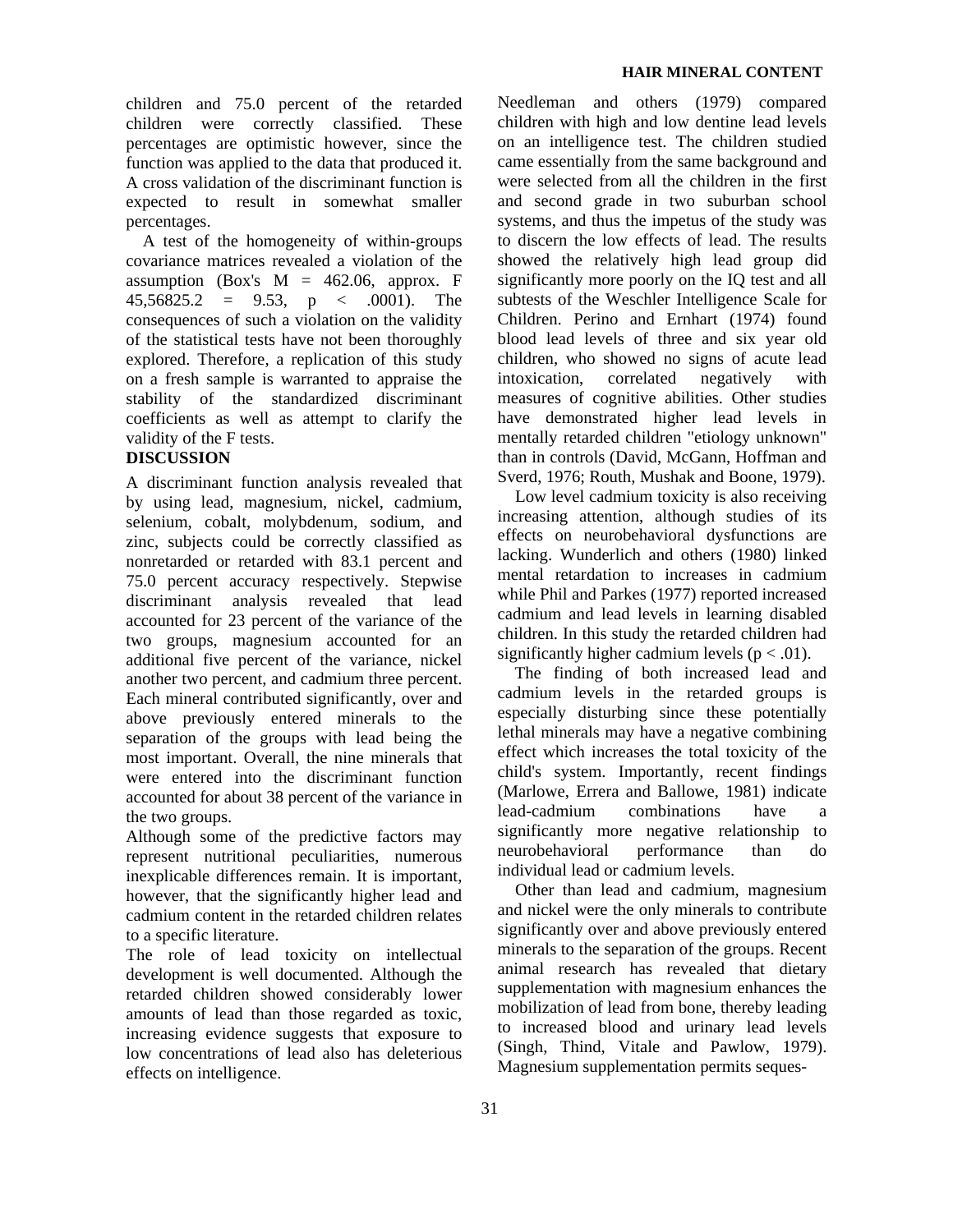children and 75.0 percent of the retarded children were correctly classified. These percentages are optimistic however, since the function was applied to the data that produced it. A cross validation of the discriminant function is expected to result in somewhat smaller percentages.

A test of the homogeneity of within-groups covariance matrices revealed a violation of the assumption (Box's  $M = 462.06$ , approx. F  $45,56825.2 = 9.53, p < .0001$ . The consequences of such a violation on the validity of the statistical tests have not been thoroughly explored. Therefore, a replication of this study on a fresh sample is warranted to appraise the stability of the standardized discriminant coefficients as well as attempt to clarify the validity of the F tests.

## **DISCUSSION**

A discriminant function analysis revealed that by using lead, magnesium, nickel, cadmium, selenium, cobalt, molybdenum, sodium, and zinc, subjects could be correctly classified as nonretarded or retarded with 83.1 percent and 75.0 percent accuracy respectively. Stepwise discriminant analysis revealed that lead accounted for 23 percent of the variance of the two groups, magnesium accounted for an additional five percent of the variance, nickel another two percent, and cadmium three percent. Each mineral contributed significantly, over and above previously entered minerals to the separation of the groups with lead being the most important. Overall, the nine minerals that were entered into the discriminant function accounted for about 38 percent of the variance in the two groups.

Although some of the predictive factors may represent nutritional peculiarities, numerous inexplicable differences remain. It is important, however, that the significantly higher lead and cadmium content in the retarded children relates to a specific literature.

The role of lead toxicity on intellectual development is well documented. Although the retarded children showed considerably lower amounts of lead than those regarded as toxic, increasing evidence suggests that exposure to low concentrations of lead also has deleterious effects on intelligence.

Needleman and others (1979) compared children with high and low dentine lead levels on an intelligence test. The children studied came essentially from the same background and were selected from all the children in the first and second grade in two suburban school systems, and thus the impetus of the study was to discern the low effects of lead. The results showed the relatively high lead group did significantly more poorly on the IQ test and all subtests of the Weschler Intelligence Scale for Children. Perino and Ernhart (1974) found blood lead levels of three and six year old children, who showed no signs of acute lead intoxication, correlated negatively with measures of cognitive abilities. Other studies have demonstrated higher lead levels in mentally retarded children "etiology unknown" than in controls (David, McGann, Hoffman and Sverd, 1976; Routh, Mushak and Boone, 1979).

Low level cadmium toxicity is also receiving increasing attention, although studies of its effects on neurobehavioral dysfunctions are lacking. Wunderlich and others (1980) linked mental retardation to increases in cadmium while Phil and Parkes (1977) reported increased cadmium and lead levels in learning disabled children. In this study the retarded children had significantly higher cadmium levels ( $p < .01$ ).

The finding of both increased lead and cadmium levels in the retarded groups is especially disturbing since these potentially lethal minerals may have a negative combining effect which increases the total toxicity of the child's system. Importantly, recent findings (Marlowe, Errera and Ballowe, 1981) indicate lead-cadmium combinations have a significantly more negative relationship to neurobehavioral performance than do individual lead or cadmium levels.

Other than lead and cadmium, magnesium and nickel were the only minerals to contribute significantly over and above previously entered minerals to the separation of the groups. Recent animal research has revealed that dietary supplementation with magnesium enhances the mobilization of lead from bone, thereby leading to increased blood and urinary lead levels (Singh, Thind, Vitale and Pawlow, 1979). Magnesium supplementation permits seques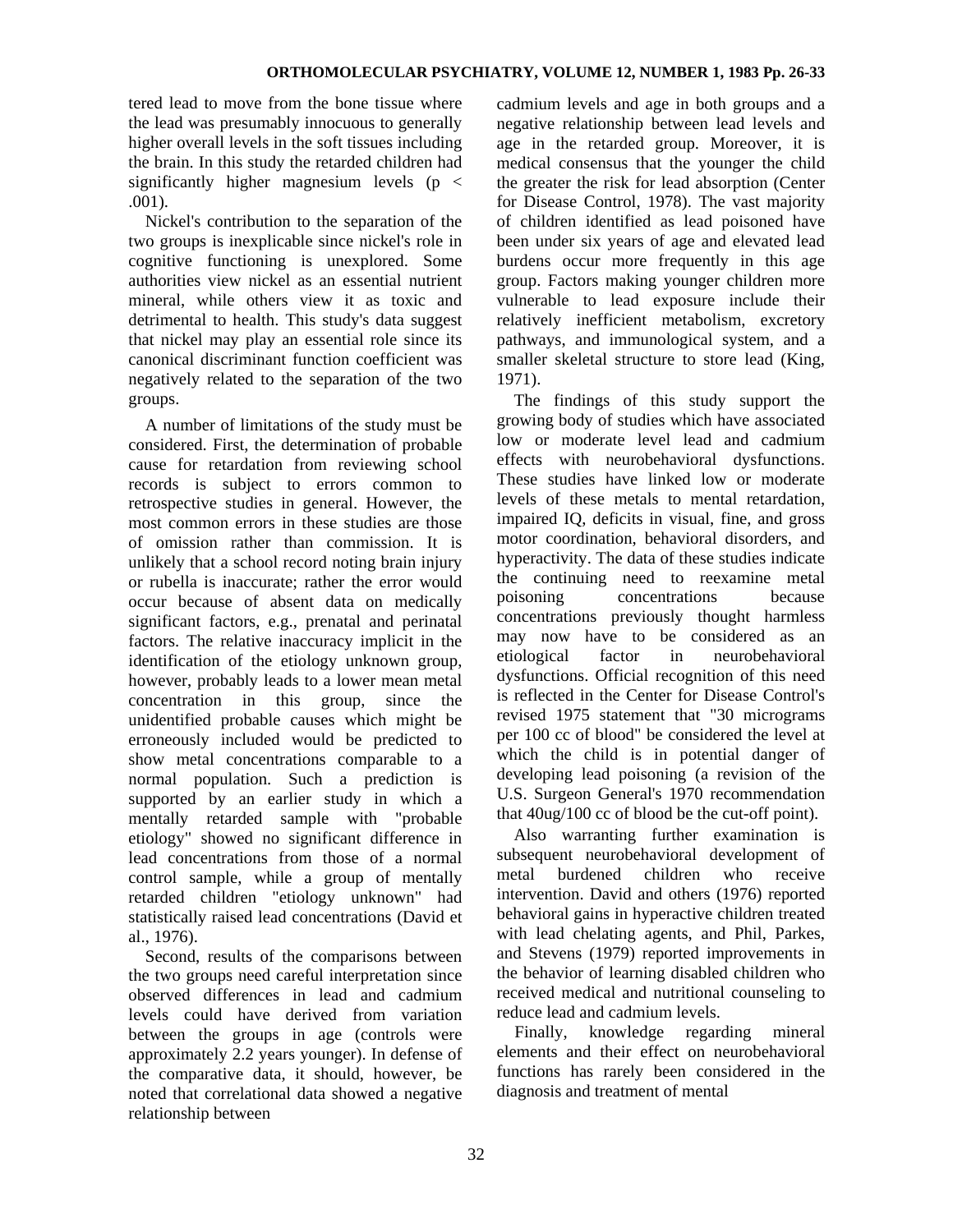tered lead to move from the bone tissue where the lead was presumably innocuous to generally higher overall levels in the soft tissues including the brain. In this study the retarded children had significantly higher magnesium levels ( $p \leq$ .001).

Nickel's contribution to the separation of the two groups is inexplicable since nickel's role in cognitive functioning is unexplored. Some authorities view nickel as an essential nutrient mineral, while others view it as toxic and detrimental to health. This study's data suggest that nickel may play an essential role since its canonical discriminant function coefficient was negatively related to the separation of the two groups.

A number of limitations of the study must be considered. First, the determination of probable cause for retardation from reviewing school records is subject to errors common to retrospective studies in general. However, the most common errors in these studies are those of omission rather than commission. It is unlikely that a school record noting brain injury or rubella is inaccurate; rather the error would occur because of absent data on medically significant factors, e.g., prenatal and perinatal factors. The relative inaccuracy implicit in the identification of the etiology unknown group, however, probably leads to a lower mean metal concentration in this group, since the unidentified probable causes which might be erroneously included would be predicted to show metal concentrations comparable to a normal population. Such a prediction is supported by an earlier study in which a mentally retarded sample with "probable etiology" showed no significant difference in lead concentrations from those of a normal control sample, while a group of mentally retarded children "etiology unknown" had statistically raised lead concentrations (David et al., 1976).

Second, results of the comparisons between the two groups need careful interpretation since observed differences in lead and cadmium levels could have derived from variation between the groups in age (controls were approximately 2.2 years younger). In defense of the comparative data, it should, however, be noted that correlational data showed a negative relationship between

cadmium levels and age in both groups and a negative relationship between lead levels and age in the retarded group. Moreover, it is medical consensus that the younger the child the greater the risk for lead absorption (Center for Disease Control, 1978). The vast majority of children identified as lead poisoned have been under six years of age and elevated lead burdens occur more frequently in this age group. Factors making younger children more vulnerable to lead exposure include their relatively inefficient metabolism, excretory pathways, and immunological system, and a smaller skeletal structure to store lead (King, 1971).

The findings of this study support the growing body of studies which have associated low or moderate level lead and cadmium effects with neurobehavioral dysfunctions. These studies have linked low or moderate levels of these metals to mental retardation, impaired IQ, deficits in visual, fine, and gross motor coordination, behavioral disorders, and hyperactivity. The data of these studies indicate the continuing need to reexamine metal poisoning concentrations because concentrations previously thought harmless may now have to be considered as an etiological factor in neurobehavioral dysfunctions. Official recognition of this need is reflected in the Center for Disease Control's revised 1975 statement that "30 micrograms per 100 cc of blood" be considered the level at which the child is in potential danger of developing lead poisoning (a revision of the U.S. Surgeon General's 1970 recommendation that 40ug/100 cc of blood be the cut-off point).

Also warranting further examination is subsequent neurobehavioral development of metal burdened children who receive intervention. David and others (1976) reported behavioral gains in hyperactive children treated with lead chelating agents, and Phil, Parkes, and Stevens (1979) reported improvements in the behavior of learning disabled children who received medical and nutritional counseling to reduce lead and cadmium levels.

Finally, knowledge regarding mineral elements and their effect on neurobehavioral functions has rarely been considered in the diagnosis and treatment of mental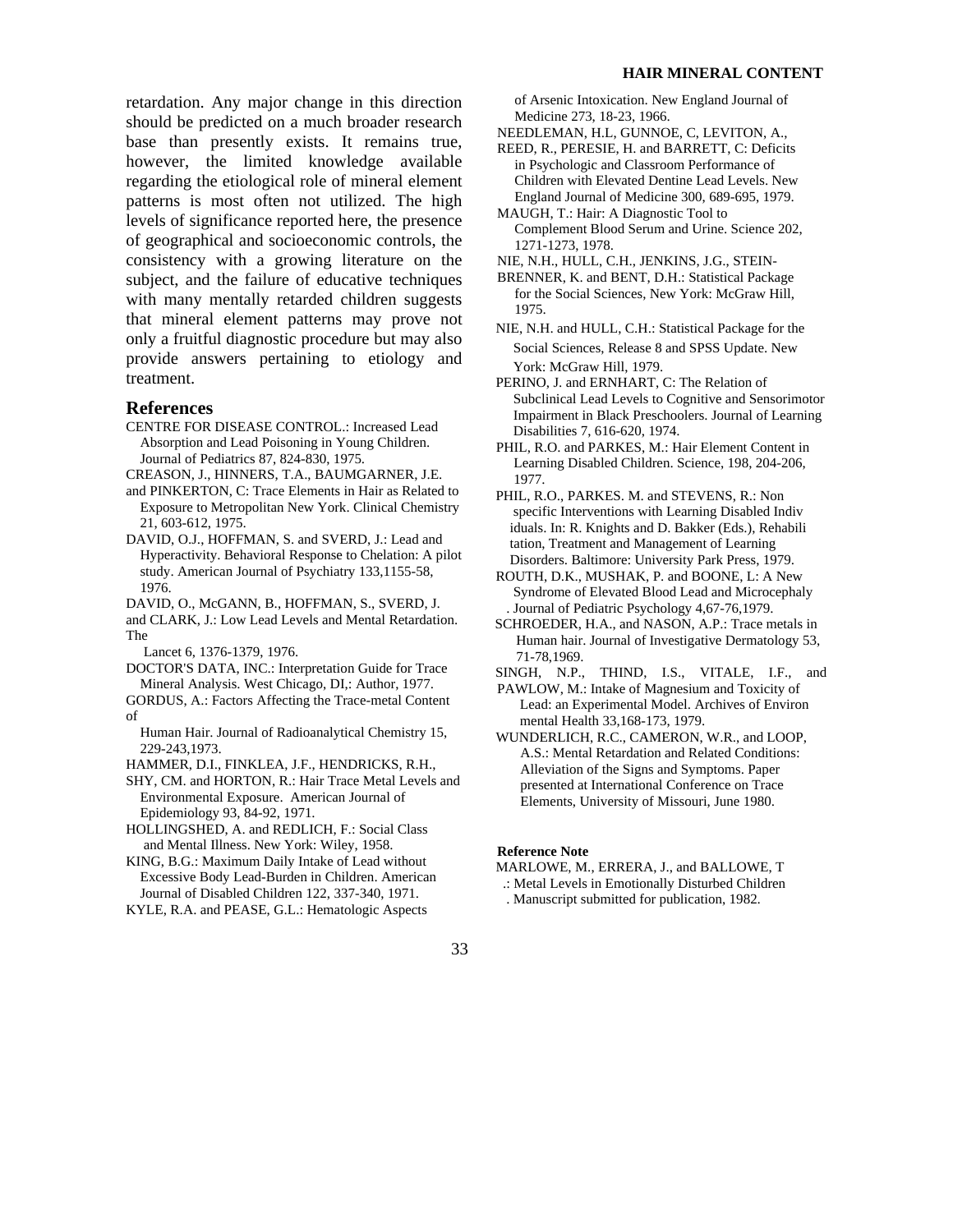retardation. Any major change in this direction should be predicted on a much broader research base than presently exists. It remains true, however, the limited knowledge available regarding the etiological role of mineral element patterns is most often not utilized. The high levels of significance reported here, the presence of geographical and socioeconomic controls, the consistency with a growing literature on the subject, and the failure of educative techniques with many mentally retarded children suggests that mineral element patterns may prove not only a fruitful diagnostic procedure but may also provide answers pertaining to etiology and treatment.

## **References**

- CENTRE FOR DISEASE CONTROL.: Increased Lead Absorption and Lead Poisoning in Young Children. Journal of Pediatrics 87, 824-830, 1975.
- CREASON, J., HINNERS, T.A., BAUMGARNER, J.E.
- and PINKERTON, C: Trace Elements in Hair as Related to Exposure to Metropolitan New York. Clinical Chemistry 21, 603-612, 1975.
- DAVID, O.J., HOFFMAN, S. and SVERD, J.: Lead and Hyperactivity. Behavioral Response to Chelation: A pilot study. American Journal of Psychiatry 133,1155-58, 1976.
- DAVID, O., McGANN, B., HOFFMAN, S., SVERD, J.
- and CLARK, J.: Low Lead Levels and Mental Retardation. The
- Lancet 6, 1376-1379, 1976.
- DOCTOR'S DATA, INC.: Interpretation Guide for Trace Mineral Analysis. West Chicago, DI,: Author, 1977.
- GORDUS, A.: Factors Affecting the Trace-metal Content of
- Human Hair. Journal of Radioanalytical Chemistry 15, 229-243,1973.

HAMMER, D.I., FINKLEA, J.F., HENDRICKS, R.H.,

SHY, CM. and HORTON, R.: Hair Trace Metal Levels and Environmental Exposure. American Journal of Epidemiology 93, 84-92, 1971.

HOLLINGSHED, A. and REDLICH, F.: Social Class and Mental Illness. New York: Wiley, 1958.

KING, B.G.: Maximum Daily Intake of Lead without Excessive Body Lead-Burden in Children. American Journal of Disabled Children 122, 337-340, 1971.

KYLE, R.A. and PEASE, G.L.: Hematologic Aspects

 of Arsenic Intoxication. New England Journal of Medicine 273, 18-23, 1966.

- NEEDLEMAN, H.L, GUNNOE, C, LEVITON, A.,
- REED, R., PERESIE, H. and BARRETT, C: Deficits in Psychologic and Classroom Performance of Children with Elevated Dentine Lead Levels. New England Journal of Medicine 300, 689-695, 1979.
- MAUGH, T.: Hair: A Diagnostic Tool to Complement Blood Serum and Urine. Science 202, 1271-1273, 1978.
- NIE, N.H., HULL, C.H., JENKINS, J.G., STEIN-

BRENNER, K. and BENT, D.H.: Statistical Package for the Social Sciences, New York: McGraw Hill, 1975.

NIE, N.H. and HULL, C.H.: Statistical Package for the Social Sciences, Release 8 and SPSS Update. New York: McGraw Hill, 1979.

PERINO, J. and ERNHART, C: The Relation of Subclinical Lead Levels to Cognitive and Sensorimotor Impairment in Black Preschoolers. Journal of Learning Disabilities 7, 616-620, 1974.

- PHIL, R.O. and PARKES, M.: Hair Element Content in Learning Disabled Children. Science, 198, 204-206, 1977.
- PHIL, R.O., PARKES. M. and STEVENS, R.: Non specific Interventions with Learning Disabled Indiv iduals. In: R. Knights and D. Bakker (Eds.), Rehabili tation, Treatment and Management of Learning Disorders. Baltimore: University Park Press, 1979.
- ROUTH, D.K., MUSHAK, P. and BOONE, L: A New Syndrome of Elevated Blood Lead and Microcephaly . Journal of Pediatric Psychology 4,67-76,1979.
- SCHROEDER, H.A., and NASON, A.P.: Trace metals in Human hair. Journal of Investigative Dermatology 53, 71-78,1969.
- SINGH, N.P., THIND, I.S., VITALE, I.F., and
- PAWLOW, M.: Intake of Magnesium and Toxicity of Lead: an Experimental Model. Archives of Environ mental Health 33,168-173, 1979.
- WUNDERLICH, R.C., CAMERON, W.R., and LOOP, A.S.: Mental Retardation and Related Conditions: Alleviation of the Signs and Symptoms. Paper presented at International Conference on Trace Elements, University of Missouri, June 1980.

#### **Reference Note**

- MARLOWE, M., ERRERA, J., and BALLOWE, T
- .: Metal Levels in Emotionally Disturbed Children
- . Manuscript submitted for publication, 1982.

## 33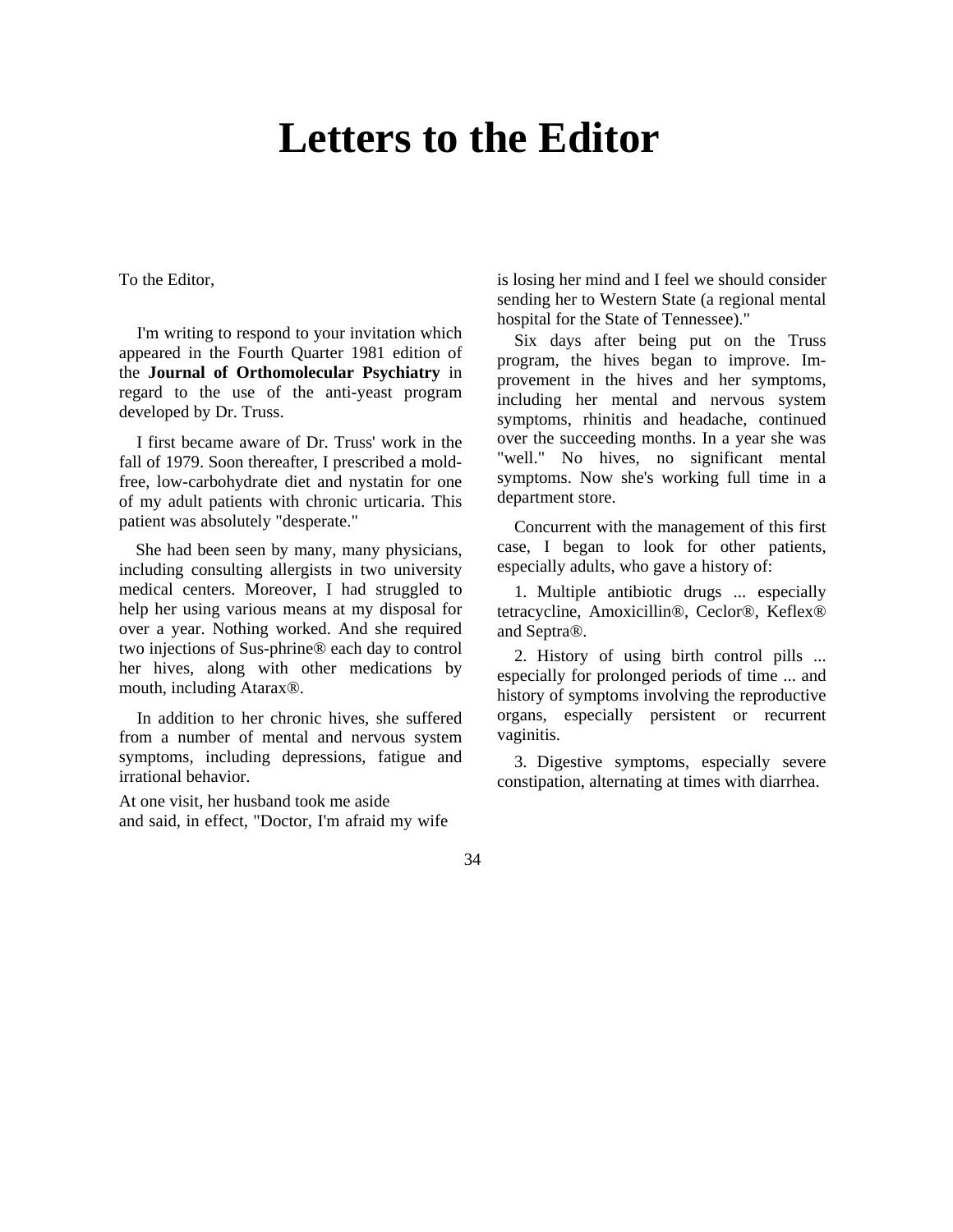## **Letters to the Editor**

To the Editor,

I'm writing to respond to your invitation which appeared in the Fourth Quarter 1981 edition of the **Journal of Orthomolecular Psychiatry** in regard to the use of the anti-yeast program developed by Dr. Truss.

I first became aware of Dr. Truss' work in the fall of 1979. Soon thereafter, I prescribed a moldfree, low-carbohydrate diet and nystatin for one of my adult patients with chronic urticaria. This patient was absolutely "desperate."

She had been seen by many, many physicians, including consulting allergists in two university medical centers. Moreover, I had struggled to help her using various means at my disposal for over a year. Nothing worked. And she required two injections of Sus-phrine® each day to control her hives, along with other medications by mouth, including Atarax®.

In addition to her chronic hives, she suffered from a number of mental and nervous system symptoms, including depressions, fatigue and irrational behavior.

At one visit, her husband took me aside and said, in effect, "Doctor, I'm afraid my wife

is losing her mind and I feel we should consider sending her to Western State (a regional mental hospital for the State of Tennessee)."

Six days after being put on the Truss program, the hives began to improve. Improvement in the hives and her symptoms, including her mental and nervous system symptoms, rhinitis and headache, continued over the succeeding months. In a year she was "well." No hives, no significant mental symptoms. Now she's working full time in a department store.

Concurrent with the management of this first case, I began to look for other patients, especially adults, who gave a history of:

1. Multiple antibiotic drugs ... especially tetracycline, Amoxicillin®, Ceclor®, Keflex® and Septra®.

2. History of using birth control pills ... especially for prolonged periods of time ... and history of symptoms involving the reproductive organs, especially persistent or recurrent vaginitis.

3. Digestive symptoms, especially severe constipation, alternating at times with diarrhea.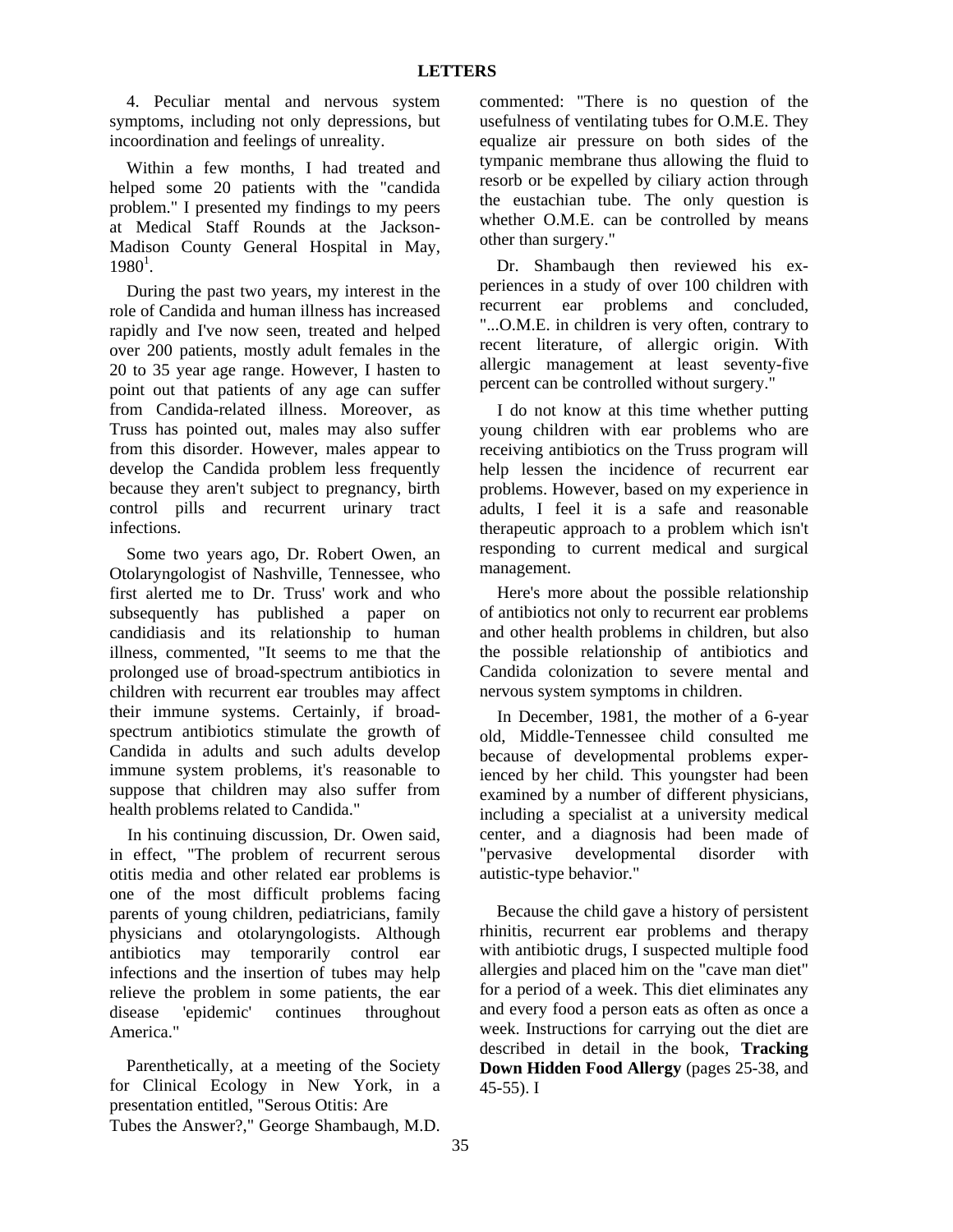4. Peculiar mental and nervous system symptoms, including not only depressions, but incoordination and feelings of unreality.

Within a few months, I had treated and helped some 20 patients with the "candida problem." I presented my findings to my peers at Medical Staff Rounds at the Jackson-Madison County General Hospital in May,  $1980<sup>1</sup>$ .

During the past two years, my interest in the role of Candida and human illness has increased rapidly and I've now seen, treated and helped over 200 patients, mostly adult females in the 20 to 35 year age range. However, I hasten to point out that patients of any age can suffer from Candida-related illness. Moreover, as Truss has pointed out, males may also suffer from this disorder. However, males appear to develop the Candida problem less frequently because they aren't subject to pregnancy, birth control pills and recurrent urinary tract infections.

Some two years ago, Dr. Robert Owen, an Otolaryngologist of Nashville, Tennessee, who first alerted me to Dr. Truss' work and who subsequently has published a paper on candidiasis and its relationship to human illness, commented, "It seems to me that the prolonged use of broad-spectrum antibiotics in children with recurrent ear troubles may affect their immune systems. Certainly, if broadspectrum antibiotics stimulate the growth of Candida in adults and such adults develop immune system problems, it's reasonable to suppose that children may also suffer from health problems related to Candida."

In his continuing discussion, Dr. Owen said, in effect, "The problem of recurrent serous otitis media and other related ear problems is one of the most difficult problems facing parents of young children, pediatricians, family physicians and otolaryngologists. Although antibiotics may temporarily control ear infections and the insertion of tubes may help relieve the problem in some patients, the ear disease 'epidemic' continues throughout America."

Parenthetically, at a meeting of the Society for Clinical Ecology in New York, in a presentation entitled, "Serous Otitis: Are Tubes the Answer?," George Shambaugh, M.D.

commented: "There is no question of the usefulness of ventilating tubes for O.M.E. They equalize air pressure on both sides of the tympanic membrane thus allowing the fluid to resorb or be expelled by ciliary action through the eustachian tube. The only question is whether O.M.E. can be controlled by means other than surgery."

Dr. Shambaugh then reviewed his experiences in a study of over 100 children with recurrent ear problems and concluded, "...O.M.E. in children is very often, contrary to recent literature, of allergic origin. With allergic management at least seventy-five percent can be controlled without surgery."

I do not know at this time whether putting young children with ear problems who are receiving antibiotics on the Truss program will help lessen the incidence of recurrent ear problems. However, based on my experience in adults, I feel it is a safe and reasonable therapeutic approach to a problem which isn't responding to current medical and surgical management.

Here's more about the possible relationship of antibiotics not only to recurrent ear problems and other health problems in children, but also the possible relationship of antibiotics and Candida colonization to severe mental and nervous system symptoms in children.

In December, 1981, the mother of a 6-year old, Middle-Tennessee child consulted me because of developmental problems experienced by her child. This youngster had been examined by a number of different physicians, including a specialist at a university medical center, and a diagnosis had been made of "pervasive developmental disorder with autistic-type behavior."

Because the child gave a history of persistent rhinitis, recurrent ear problems and therapy with antibiotic drugs, I suspected multiple food allergies and placed him on the "cave man diet" for a period of a week. This diet eliminates any and every food a person eats as often as once a week. Instructions for carrying out the diet are described in detail in the book, **Tracking Down Hidden Food Allergy** (pages 25-38, and 45-55). I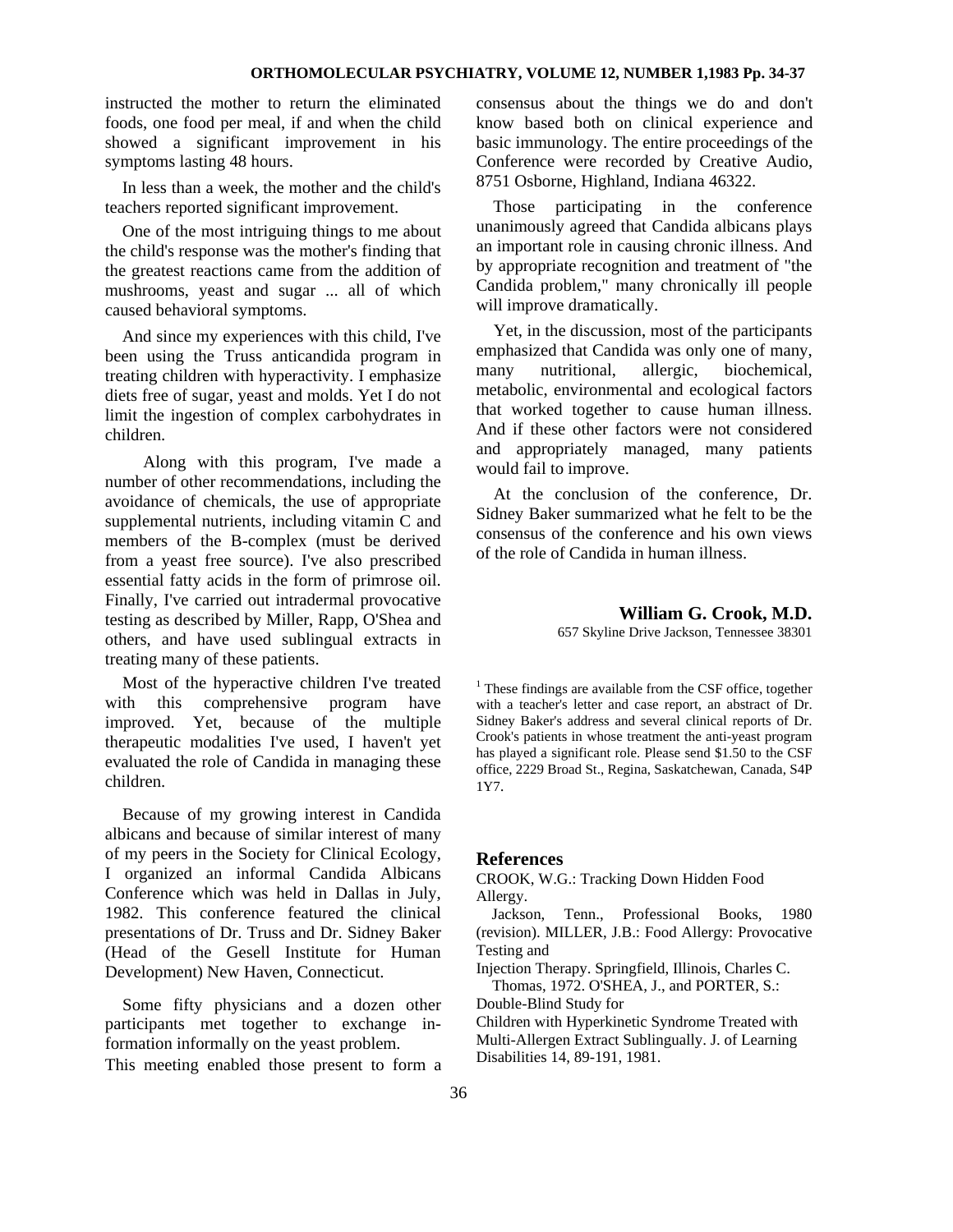instructed the mother to return the eliminated foods, one food per meal, if and when the child showed a significant improvement in his symptoms lasting 48 hours.

In less than a week, the mother and the child's teachers reported significant improvement.

One of the most intriguing things to me about the child's response was the mother's finding that the greatest reactions came from the addition of mushrooms, yeast and sugar ... all of which caused behavioral symptoms.

And since my experiences with this child, I've been using the Truss anticandida program in treating children with hyperactivity. I emphasize diets free of sugar, yeast and molds. Yet I do not limit the ingestion of complex carbohydrates in children.

Along with this program, I've made a number of other recommendations, including the avoidance of chemicals, the use of appropriate supplemental nutrients, including vitamin C and members of the B-complex (must be derived from a yeast free source). I've also prescribed essential fatty acids in the form of primrose oil. Finally, I've carried out intradermal provocative testing as described by Miller, Rapp, O'Shea and others, and have used sublingual extracts in treating many of these patients.

Most of the hyperactive children I've treated with this comprehensive program have improved. Yet, because of the multiple therapeutic modalities I've used, I haven't yet evaluated the role of Candida in managing these children.

Because of my growing interest in Candida albicans and because of similar interest of many of my peers in the Society for Clinical Ecology, I organized an informal Candida Albicans Conference which was held in Dallas in July, 1982. This conference featured the clinical presentations of Dr. Truss and Dr. Sidney Baker (Head of the Gesell Institute for Human Development) New Haven, Connecticut.

Some fifty physicians and a dozen other participants met together to exchange information informally on the yeast problem. This meeting enabled those present to form a consensus about the things we do and don't know based both on clinical experience and basic immunology. The entire proceedings of the Conference were recorded by Creative Audio, 8751 Osborne, Highland, Indiana 46322.

Those participating in the conference unanimously agreed that Candida albicans plays an important role in causing chronic illness. And by appropriate recognition and treatment of "the Candida problem," many chronically ill people will improve dramatically.

Yet, in the discussion, most of the participants emphasized that Candida was only one of many, many nutritional, allergic, biochemical, metabolic, environmental and ecological factors that worked together to cause human illness. And if these other factors were not considered and appropriately managed, many patients would fail to improve.

At the conclusion of the conference, Dr. Sidney Baker summarized what he felt to be the consensus of the conference and his own views of the role of Candida in human illness.

### **William G. Crook, M.D.**

657 Skyline Drive Jackson, Tennessee 38301

 $<sup>1</sup>$  These findings are available from the CSF office, together</sup> with a teacher's letter and case report, an abstract of Dr. Sidney Baker's address and several clinical reports of Dr. Crook's patients in whose treatment the anti-yeast program has played a significant role. Please send \$1.50 to the CSF office, 2229 Broad St., Regina, Saskatchewan, Canada, S4P 1Y7.

## **References**

CROOK, W.G.: Tracking Down Hidden Food Allergy.

Jackson, Tenn., Professional Books, 1980 (revision). MILLER, J.B.: Food Allergy: Provocative Testing and

Injection Therapy. Springfield, Illinois, Charles C.

Thomas, 1972. O'SHEA, J., and PORTER, S.:

Double-Blind Study for

Children with Hyperkinetic Syndrome Treated with Multi-Allergen Extract Sublingually. J. of Learning Disabilities 14, 89-191, 1981.